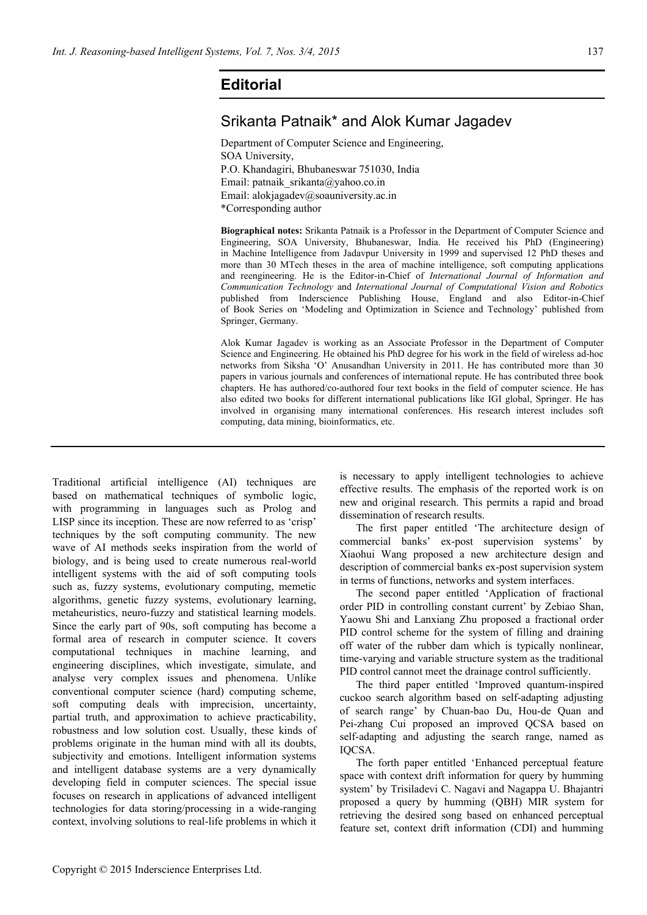## **Editorial**

## Srikanta Patnaik\* and Alok Kumar Jagadev

Department of Computer Science and Engineering, SOA University, P.O. Khandagiri, Bhubaneswar 751030, India Email: patnaik\_srikanta@yahoo.co.in Email: alokjagadev@soauniversity.ac.in \*Corresponding author

**Biographical notes:** Srikanta Patnaik is a Professor in the Department of Computer Science and Engineering, SOA University, Bhubaneswar, India. He received his PhD (Engineering) in Machine Intelligence from Jadavpur University in 1999 and supervised 12 PhD theses and more than 30 MTech theses in the area of machine intelligence, soft computing applications and reengineering. He is the Editor-in-Chief of *International Journal of Information and Communication Technology* and *International Journal of Computational Vision and Robotics* published from Inderscience Publishing House, England and also Editor-in-Chief of Book Series on 'Modeling and Optimization in Science and Technology' published from Springer, Germany.

Alok Kumar Jagadev is working as an Associate Professor in the Department of Computer Science and Engineering. He obtained his PhD degree for his work in the field of wireless ad-hoc networks from Siksha 'O' Anusandhan University in 2011. He has contributed more than 30 papers in various journals and conferences of international repute. He has contributed three book chapters. He has authored/co-authored four text books in the field of computer science. He has also edited two books for different international publications like IGI global, Springer. He has involved in organising many international conferences. His research interest includes soft computing, data mining, bioinformatics, etc.

Traditional artificial intelligence (AI) techniques are based on mathematical techniques of symbolic logic, with programming in languages such as Prolog and LISP since its inception. These are now referred to as 'crisp' techniques by the soft computing community. The new wave of AI methods seeks inspiration from the world of biology, and is being used to create numerous real-world intelligent systems with the aid of soft computing tools such as, fuzzy systems, evolutionary computing, memetic algorithms, genetic fuzzy systems, evolutionary learning, metaheuristics, neuro-fuzzy and statistical learning models. Since the early part of 90s, soft computing has become a formal area of research in computer science. It covers computational techniques in machine learning, and engineering disciplines, which investigate, simulate, and analyse very complex issues and phenomena. Unlike conventional computer science (hard) computing scheme, soft computing deals with imprecision, uncertainty, partial truth, and approximation to achieve practicability, robustness and low solution cost. Usually, these kinds of problems originate in the human mind with all its doubts, subjectivity and emotions. Intelligent information systems and intelligent database systems are a very dynamically developing field in computer sciences. The special issue focuses on research in applications of advanced intelligent technologies for data storing/processing in a wide-ranging context, involving solutions to real-life problems in which it is necessary to apply intelligent technologies to achieve effective results. The emphasis of the reported work is on new and original research. This permits a rapid and broad dissemination of research results.

The first paper entitled 'The architecture design of commercial banks' ex-post supervision systems' by Xiaohui Wang proposed a new architecture design and description of commercial banks ex-post supervision system in terms of functions, networks and system interfaces.

The second paper entitled 'Application of fractional order PID in controlling constant current' by Zebiao Shan, Yaowu Shi and Lanxiang Zhu proposed a fractional order PID control scheme for the system of filling and draining off water of the rubber dam which is typically nonlinear, time-varying and variable structure system as the traditional PID control cannot meet the drainage control sufficiently.

The third paper entitled 'Improved quantum-inspired cuckoo search algorithm based on self-adapting adjusting of search range' by Chuan-bao Du, Hou-de Quan and Pei-zhang Cui proposed an improved QCSA based on self-adapting and adjusting the search range, named as IQCSA.

The forth paper entitled 'Enhanced perceptual feature space with context drift information for query by humming system' by Trisiladevi C. Nagavi and Nagappa U. Bhajantri proposed a query by humming (QBH) MIR system for retrieving the desired song based on enhanced perceptual feature set, context drift information (CDI) and humming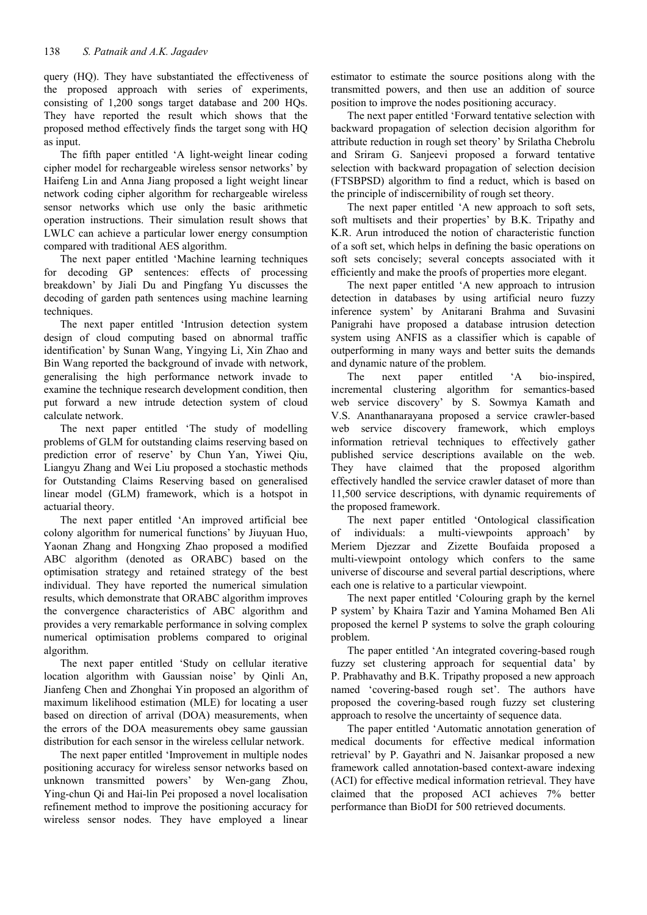query (HO). They have substantiated the effectiveness of the proposed approach with series of experiments, consisting of 1,200 songs target database and 200 HQs. They have reported the result which shows that the proposed method effectively finds the target song with HQ as input.

The fifth paper entitled 'A light-weight linear coding cipher model for rechargeable wireless sensor networks' by Haifeng Lin and Anna Jiang proposed a light weight linear network coding cipher algorithm for rechargeable wireless sensor networks which use only the basic arithmetic operation instructions. Their simulation result shows that LWLC can achieve a particular lower energy consumption compared with traditional AES algorithm.

The next paper entitled 'Machine learning techniques for decoding GP sentences: effects of processing breakdown' by Jiali Du and Pingfang Yu discusses the decoding of garden path sentences using machine learning techniques.

The next paper entitled 'Intrusion detection system design of cloud computing based on abnormal traffic identification' by Sunan Wang, Yingying Li, Xin Zhao and Bin Wang reported the background of invade with network, generalising the high performance network invade to examine the technique research development condition, then put forward a new intrude detection system of cloud calculate network.

The next paper entitled 'The study of modelling problems of GLM for outstanding claims reserving based on prediction error of reserve' by Chun Yan, Yiwei Qiu, Liangyu Zhang and Wei Liu proposed a stochastic methods for Outstanding Claims Reserving based on generalised linear model (GLM) framework, which is a hotspot in actuarial theory.

The next paper entitled 'An improved artificial bee colony algorithm for numerical functions' by Jiuyuan Huo, Yaonan Zhang and Hongxing Zhao proposed a modified ABC algorithm (denoted as ORABC) based on the optimisation strategy and retained strategy of the best individual. They have reported the numerical simulation results, which demonstrate that ORABC algorithm improves the convergence characteristics of ABC algorithm and provides a very remarkable performance in solving complex numerical optimisation problems compared to original algorithm.

The next paper entitled 'Study on cellular iterative location algorithm with Gaussian noise' by Qinli An, Jianfeng Chen and Zhonghai Yin proposed an algorithm of maximum likelihood estimation (MLE) for locating a user based on direction of arrival (DOA) measurements, when the errors of the DOA measurements obey same gaussian distribution for each sensor in the wireless cellular network.

The next paper entitled 'Improvement in multiple nodes positioning accuracy for wireless sensor networks based on unknown transmitted powers' by Wen-gang Zhou, Ying-chun Qi and Hai-lin Pei proposed a novel localisation refinement method to improve the positioning accuracy for wireless sensor nodes. They have employed a linear

estimator to estimate the source positions along with the transmitted powers, and then use an addition of source position to improve the nodes positioning accuracy.

The next paper entitled 'Forward tentative selection with backward propagation of selection decision algorithm for attribute reduction in rough set theory' by Srilatha Chebrolu and Sriram G. Sanjeevi proposed a forward tentative selection with backward propagation of selection decision (FTSBPSD) algorithm to find a reduct, which is based on the principle of indiscernibility of rough set theory.

The next paper entitled 'A new approach to soft sets, soft multisets and their properties' by B.K. Tripathy and K.R. Arun introduced the notion of characteristic function of a soft set, which helps in defining the basic operations on soft sets concisely; several concepts associated with it efficiently and make the proofs of properties more elegant.

The next paper entitled 'A new approach to intrusion detection in databases by using artificial neuro fuzzy inference system' by Anitarani Brahma and Suvasini Panigrahi have proposed a database intrusion detection system using ANFIS as a classifier which is capable of outperforming in many ways and better suits the demands and dynamic nature of the problem.

The next paper entitled 'A bio-inspired, incremental clustering algorithm for semantics-based web service discovery' by S. Sowmya Kamath and V.S. Ananthanarayana proposed a service crawler-based web service discovery framework, which employs information retrieval techniques to effectively gather published service descriptions available on the web. They have claimed that the proposed algorithm effectively handled the service crawler dataset of more than 11,500 service descriptions, with dynamic requirements of the proposed framework.

The next paper entitled 'Ontological classification of individuals: a multi-viewpoints approach' by Meriem Djezzar and Zizette Boufaida proposed a multi-viewpoint ontology which confers to the same universe of discourse and several partial descriptions, where each one is relative to a particular viewpoint.

The next paper entitled 'Colouring graph by the kernel P system' by Khaira Tazir and Yamina Mohamed Ben Ali proposed the kernel P systems to solve the graph colouring problem.

The paper entitled 'An integrated covering-based rough fuzzy set clustering approach for sequential data' by P. Prabhavathy and B.K. Tripathy proposed a new approach named 'covering-based rough set'. The authors have proposed the covering-based rough fuzzy set clustering approach to resolve the uncertainty of sequence data.

The paper entitled 'Automatic annotation generation of medical documents for effective medical information retrieval' by P. Gayathri and N. Jaisankar proposed a new framework called annotation-based context-aware indexing (ACI) for effective medical information retrieval. They have claimed that the proposed ACI achieves 7% better performance than BioDI for 500 retrieved documents.